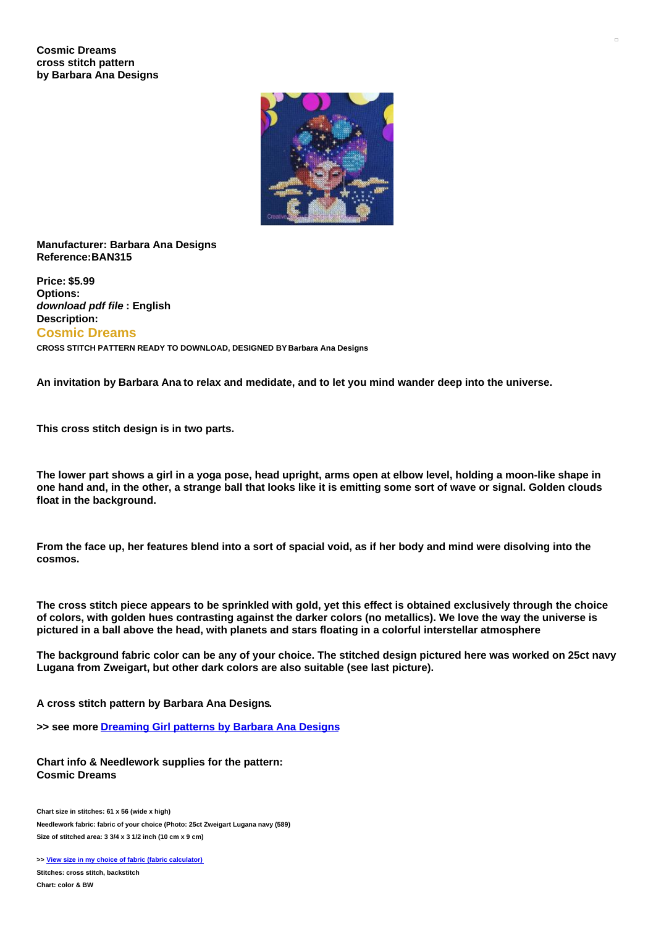## **Cosmic Dreams cross stitch pattern by Barbara Ana Designs**



## **Manufacturer: Barbara Ana Designs Reference:BAN315**

**Price: \$5.99 Options:** *download pdf file* **: English Description: Cosmic Dreams**

**CROSS STITCH PATTERN READY TO DOWNLOAD, DESIGNED BY Barbara Ana Designs**

An invitation by Barbara Ana to relax and medidate, and to let you mind wander deep into the universe.

**This cross stitch design is in two parts.**

The lower part shows a girl in a yoga pose, head upright, arms open at elbow level, holding a moon-like shape in one hand and, in the other, a strange ball that looks like it is emitting some sort of wave or signal. Golden clouds **float in the background.**

From the face up, her features blend into a sort of spacial void, as if her body and mind were disolving into the **cosmos.**

The cross stitch piece appears to be sprinkled with gold, yet this effect is obtained exclusively through the choice of colors, with golden hues contrasting against the darker colors (no metallics). We love the way the universe is **pictured in a ball above the head, with planets and stars floating in a colorful interstellar atmosphere**

The background fabric color can be any of your choice. The stitched design pictured here was worked on 25ct navy **Lugana from Zweigart, but other dark colors are also suitable (see last picture).**

**A cross stitch pattern by Barbara Ana Designs.**

**>> see more [Dreaming](https://www.creativepoppypatterns.com/dreaming-girls-cross-stitch-patterns-barbara-designs-xsl-296_302_715.html) Girl patterns by Barbara Ana Designs**

**Chart info & Needlework supplies for the pattern: Cosmic Dreams**

**Chart size in stitches: 61 x 56 (wide x high) Needlework fabric: fabric of your choice (Photo: 25ct Zweigart Lugana navy (589) Size of stitched area: 3 3/4 x 3 1/2 inch (10 cm x 9 cm)**